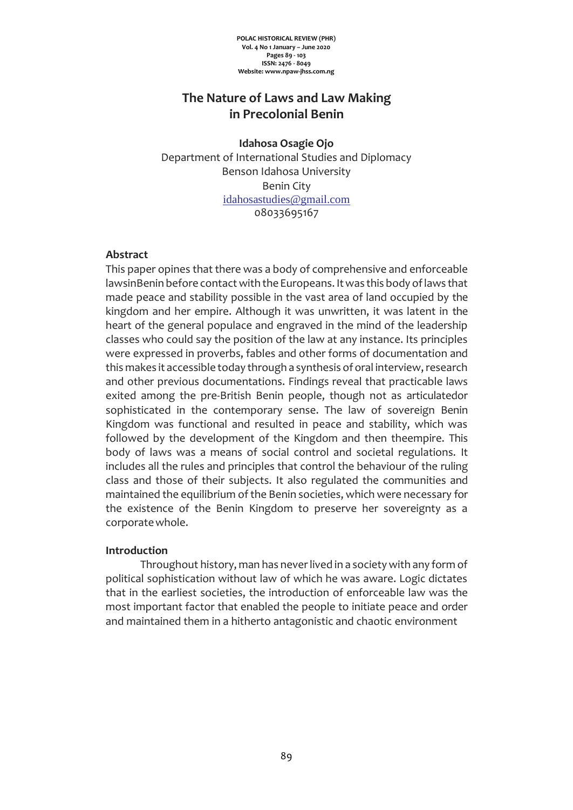**POLAC HISTORICAL REVIEW (PHR) Vol. 4 No 1 January – June 2020 Pages 89 - 103 ISSN: 2476 - 8049 Website: www.npaw-jhss.com.ng**

# **The Nature of Laws and Law Making in Precolonial Benin**

**Idahosa Osagie Ojo** Department of International Studies and Diplomacy Benson Idahosa University Benin City [idahosastudies@gmail.com](mailto:idahosastudies@gmail.com) 08033695167

## **Abstract**

This paper opines that there was a body of comprehensive and enforceable lawsinBenin before contact with the Europeans. It was this body of laws that made peace and stability possible in the vast area of land occupied by the kingdom and her empire. Although it was unwritten, it was latent in the heart of the general populace and engraved in the mind of the leadership classes who could say the position of the law at any instance. Its principles were expressed in proverbs, fables and other forms of documentation and this makes it accessible today through a synthesis of oral interview, research and other previous documentations. Findings reveal that practicable laws exited among the pre-British Benin people, though not as articulatedor sophisticated in the contemporary sense. The law of sovereign Benin Kingdom was functional and resulted in peace and stability, which was followed by the development of the Kingdom and then theempire. This body of laws was a means of social control and societal regulations. It includes all the rules and principles that control the behaviour of the ruling class and those of their subjects. It also regulated the communities and maintained the equilibrium of the Benin societies, which were necessary for the existence of the Benin Kingdom to preserve her sovereignty as a corporatewhole.

### **Introduction**

Throughout history, man has neverlived in a society with any form of political sophistication without law of which he was aware. Logic dictates that in the earliest societies, the introduction of enforceable law was the most important factor that enabled the people to initiate peace and order and maintained them in a hitherto antagonistic and chaotic environment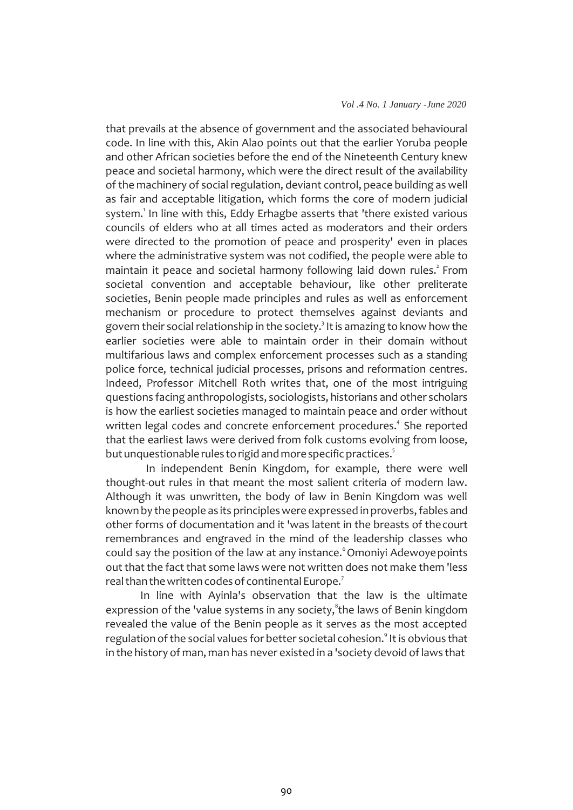#### *Vol .4 No. 1 January -June 2020*

that prevails at the absence of government and the associated behavioural code. In line with this, Akin Alao points out that the earlier Yoruba people and other African societies before the end of the Nineteenth Century knew peace and societal harmony, which were the direct result of the availability of the machinery of social regulation, deviant control, peace building as well as fair and acceptable litigation, which forms the core of modern judicial system. <sup>1</sup>In line with this, Eddy Erhagbe asserts that 'there existed various councils of elders who at all times acted as moderators and their orders were directed to the promotion of peace and prosperity' even in places where the administrative system was not codified, the people were able to maintain it peace and societal harmony following laid down rules. 2 From societal convention and acceptable behaviour, like other preliterate societies, Benin people made principles and rules as well as enforcement mechanism or procedure to protect themselves against deviants and govern their social relationship in the society.<sup>3</sup> It is amazing to know how the earlier societies were able to maintain order in their domain without multifarious laws and complex enforcement processes such as a standing police force, technical judicial processes, prisons and reformation centres. Indeed, Professor Mitchell Roth writes that, one of the most intriguing questions facing anthropologists, sociologists, historians and other scholars is how the earliest societies managed to maintain peace and order without written legal codes and concrete enforcement procedures. <sup>4</sup>She reported that the earliest laws were derived from folk customs evolving from loose, but unquestionable rules to rigid and more specific practices. $^{\mathrm{5}}$ 

In independent Benin Kingdom, for example, there were well thought-out rules in that meant the most salient criteria of modern law. Although it was unwritten, the body of law in Benin Kingdom was well known by the people as its principles were expressed in proverbs, fables and other forms of documentation and it 'was latent in the breasts of thecourt remembrances and engraved in the mind of the leadership classes who could say the position of the law at any instance.<sup>6</sup> Omoniyi Adewoye points out that the fact that some laws were not written does not make them 'less real than the written codes of continental Europe.<sup>7</sup>

In line with Ayinla's observation that the law is the ultimate expression of the 'value systems in any society, the laws of Benin kingdom revealed the value of the Benin people as it serves as the most accepted regulation of the social values for better societal cohesion.<sup>9</sup> It is obvious that in the history of man, man has never existed in a 'society devoid oflaws that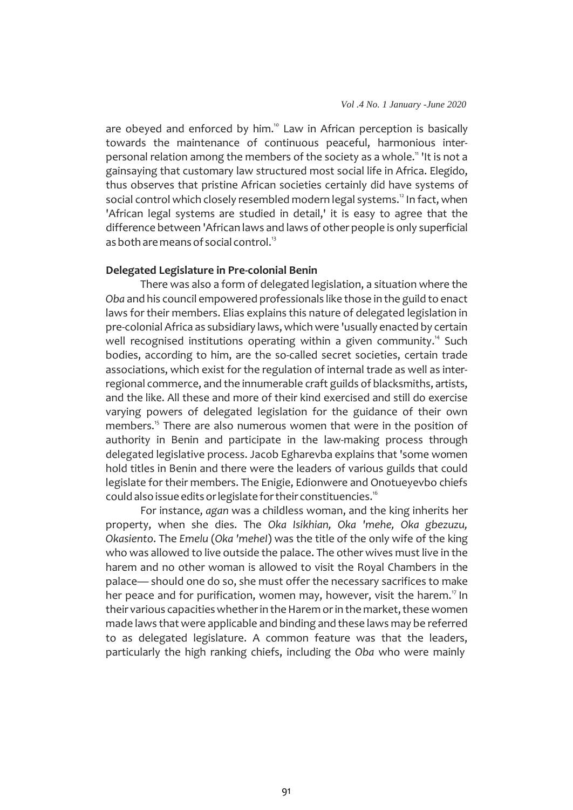are obeyed and enforced by him.<sup>10</sup> Law in African perception is basically towards the maintenance of continuous peaceful, harmonious interpersonal relation among the members of the society as a whole." 'It is not a gainsaying that customary law structured most social life in Africa. Elegido, thus observes that pristine African societies certainly did have systems of social control which closely resembled modern legal systems.<sup>2</sup> In fact, when 'African legal systems are studied in detail,' it is easy to agree that the difference between 'African laws and laws of other people is only superficial as both are means of social control.<sup>13</sup>

#### **Delegated Legislature in Pre-colonial Benin**

There was also a form of delegated legislation, a situation where the *Oba* and his council empowered professionals like those in the guild to enact laws for their members. Elias explains this nature of delegated legislation in pre-colonial Africa as subsidiary laws, which were 'usually enacted by certain well recognised institutions operating within a given community.<sup>14</sup> Such bodies, according to him, are the so-called secret societies, certain trade associations, which exist for the regulation of internal trade as well as interregional commerce, and the innumerable craft guilds of blacksmiths, artists, and the like. All these and more of their kind exercised and still do exercise varying powers of delegated legislation for the guidance of their own members.<sup>15</sup> There are also numerous women that were in the position of authority in Benin and participate in the law-making process through delegated legislative process. Jacob Egharevba explains that 'some women hold titles in Benin and there were the leaders of various guilds that could legislate for their members. The Enigie, Edionwere and Onotueyevbo chiefs could also issue edits or legislate for their constituencies. $^{\text{\tiny{16}}}$ 

For instance, *agan* was a childless woman, and the king inherits her property, when she dies. The *Oka Isikhian, Oka 'mehe, Oka gbezuzu, Okasiento*. The *Emelu* (*Oka 'meheI*) was the title of the only wife of the king who was allowed to live outside the palace. The other wives must live in the harem and no other woman is allowed to visit the Royal Chambers in the palace— should one do so, she must offer the necessary sacrifices to make her peace and for purification, women may, however, visit the harem.<sup>17</sup> In their various capacities whether in the Harem or in the market, these women made laws that were applicable and binding and these laws may be referred to as delegated legislature. A common feature was that the leaders, particularly the high ranking chiefs, including the *Oba* who were mainly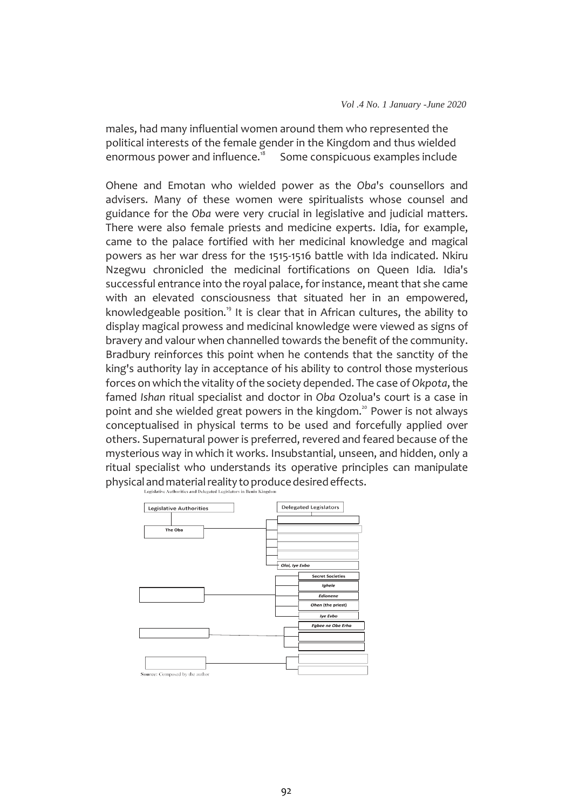males, had many influential women around them who represented the political interests of the female gender in the Kingdom and thus wielded<br>enormous power and influence.<sup>18</sup> Some conspicuous examples include Some conspicuous examples include.

Ohene and Emotan who wielded power as the *Oba*'s counsellors and advisers. Many of these women were spiritualists whose counsel and guidance for the *Oba* were very crucial in legislative and judicial matters. There were also female priests and medicine experts. Idia, for example, came to the palace fortified with her medicinal knowledge and magical powers as her war dress for the 1515-1516 battle with Ida indicated. Nkiru Nzegwu chronicled the medicinal fortifications on Queen Idia*.* Idia's successful entrance into the royal palace, for instance, meant that she came with an elevated consciousness that situated her in an empowered, knowledgeable position.<sup>19</sup> It is clear that in African cultures, the ability to display magical prowess and medicinal knowledge were viewed as signs of bravery and valour when channelled towards the benefit of the community. Bradbury reinforces this point when he contends that the sanctity of the king's authority lay in acceptance of his ability to control those mysterious forces on which the vitality of the society depended. The case of *Okpota*, the famed *Ishan* ritual specialist and doctor in *Oba* Ozolua's court is a case in point and she wielded great powers in the kingdom.<sup>20</sup> Power is not always conceptualised in physical terms to be used and forcefully applied over others. Supernatural power is preferred, revered and feared because of the mysterious way in which it works. Insubstantial, unseen, and hidden, only a ritual specialist who understands its operative principles can manipulate physical and material reality to produce desired effects.



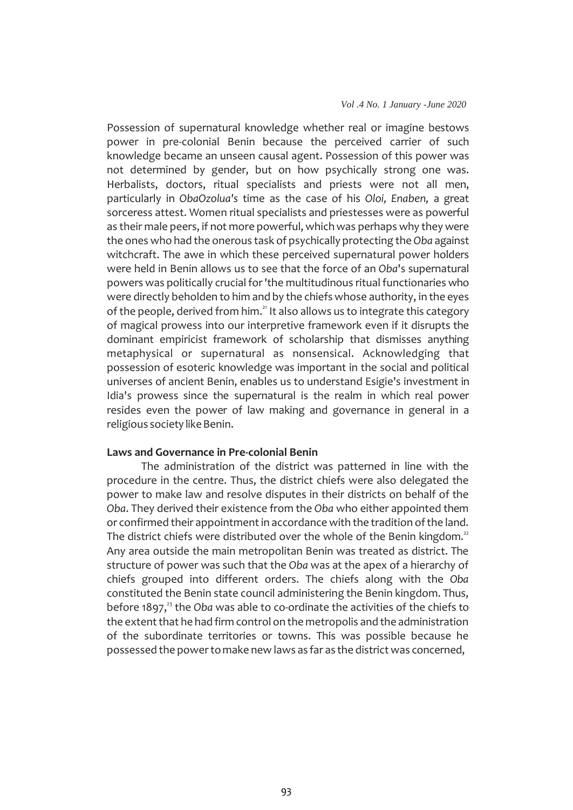Possession of supernatural knowledge whether real or imagine bestows power in pre-colonial Benin because the perceived carrier of such knowledge became an unseen causal agent. Possession of this power was not determined by gender, but on how psychically strong one was. Herbalists, doctors, ritual specialists and priests were not all men, particularly in *ObaOzolua's* time as the case of his *Oloi, Enaben,* a great sorceress attest. Women ritual specialists and priestesses were as powerful as their male peers, if not more powerful, which was perhaps why they were the ones who had the onerous task of psychically protecting the *Oba* against witchcraft. The awe in which these perceived supernatural power holders were held in Benin allows us to see that the force of an *Oba*'s supernatural powers was politically crucial for'the multitudinous ritual functionaries who were directly beholden to him and by the chiefs whose authority, in the eyes of the people, derived from him.<sup>21</sup> It also allows us to integrate this category of magical prowess into our interpretive framework even if it disrupts the dominant empiricist framework of scholarship that dismisses anything metaphysical or supernatural as nonsensical. Acknowledging that possession of esoteric knowledge was important in the social and political universes of ancient Benin, enables us to understand Esigie's investment in Idia's prowess since the supernatural is the realm in which real power resides even the power of law making and governance in general in a religious society like Benin.

#### **Laws and Governance in Pre-colonial Benin**

The administration of the district was patterned in line with the procedure in the centre. Thus, the district chiefs were also delegated the power to make law and resolve disputes in their districts on behalf of the *Oba*. They derived their existence from the *Oba* who either appointed them or confirmed their appointment in accordance with the tradition of the land. The district chiefs were distributed over the whole of the Benin kingdom. $^{\text{2}}$ Any area outside the main metropolitan Benin was treated as district. The structure of power was such that the *Oba* was at the apex of a hierarchy of chiefs grouped into different orders. The chiefs along with the *Oba*  constituted the Benin state council administering the Benin kingdom. Thus, before 1897, 23 the *Oba* was able to co-ordinate the activities of the chiefs to the extent that he had firm control on the metropolis and the administration of the subordinate territories or towns. This was possible because he possessed the powertomake new laws as far as the district was concerned,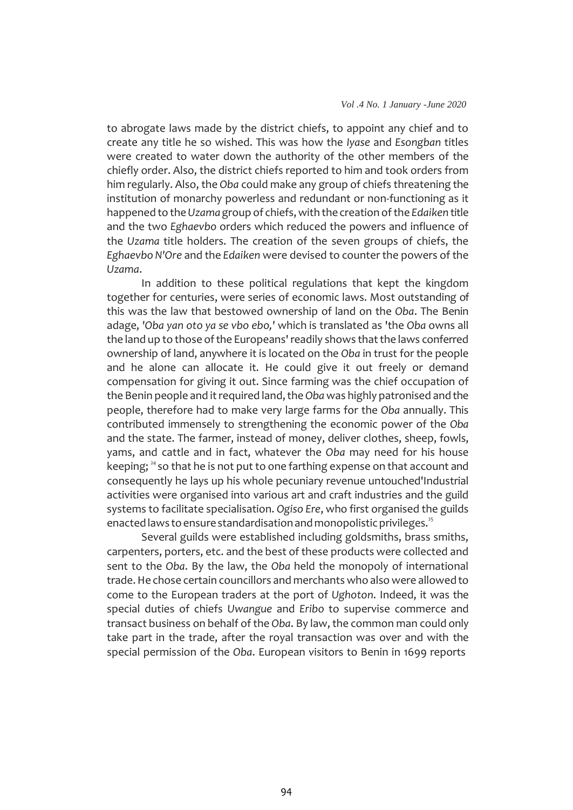to abrogate laws made by the district chiefs, to appoint any chief and to create any title he so wished. This was how the *Iyase* and *Esongban* titles were created to water down the authority of the other members of the chiefly order. Also, the district chiefs reported to him and took orders from him regularly. Also, the *Oba* could make any group of chiefs threatening the institution of monarchy powerless and redundant or non-functioning as it happened to the*Uzama*group of chiefs,with thecreation ofthe *Edaiken* title and the two *Eghaevbo* orders which reduced the powers and influence of the *Uzama* title holders. The creation of the seven groups of chiefs, the *Eghaevbo N'Ore* and the *Edaiken* were devised to counter the powers of the *Uzama*.

In addition to these political regulations that kept the kingdom together for centuries, were series of economic laws. Most outstanding of this was the law that bestowed ownership of land on the *Oba*. The Benin adage, *'Oba yan oto ya se vbo ebo,'* which is translated as 'the *Oba* owns all the land up to those of the Europeans' readily shows that the laws conferred ownership of land, anywhere it is located on the *Oba* in trust for the people and he alone can allocate it. He could give it out freely or demand compensation for giving it out. Since farming was the chief occupation of the Benin people and it required land, the Oba was highly patronised and the people, therefore had to make very large farms for the *Oba* annually. This contributed immensely to strengthening the economic power of the *Oba*  and the state. The farmer, instead of money, deliver clothes, sheep, fowls, yams, and cattle and in fact, whatever the *Oba* may need for his house keeping;  $^{24}$  so that he is not put to one farthing expense on that account and consequently he lays up his whole pecuniary revenue untouched'Industrial activities were organised into various art and craft industries and the guild systems to facilitate specialisation. *Ogiso Ere*, who first organised the guilds enacted laws to ensure standardisation and monopolistic privileges. $^{25}$ 

Several guilds were established including goldsmiths, brass smiths, carpenters, porters, etc. and the best of these products were collected and sent to the *Oba*. By the law, the *Oba* held the monopoly of international trade.He chose certain councillors and merchants who also were allowed to come to the European traders at the port of *Ughoton*. Indeed, it was the special duties of chiefs *Uwangue* and *Eribo* to supervise commerce and transact business on behalf of the *Oba*. By law, the common man could only take part in the trade, after the royal transaction was over and with the special permission of the *Oba*. European visitors to Benin in 1699 reports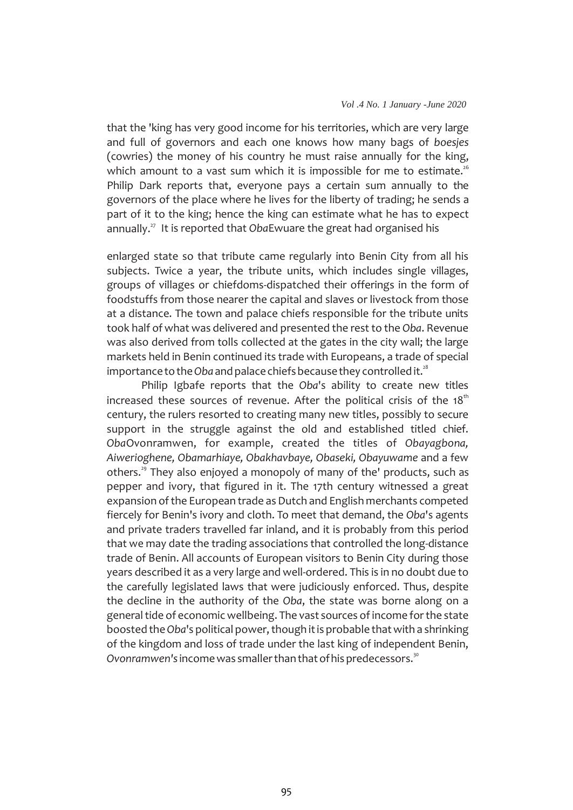that the 'king has very good income for his territories, which are very large and full of governors and each one knows how many bags of *boesjes*  (cowries) the money of his country he must raise annually for the king, which amount to a vast sum which it is impossible for me to estimate.<sup>26</sup> Philip Dark reports that, everyone pays a certain sum annually to the governors of the place where he lives for the liberty of trading; he sends a part of it to the king; hence the king can estimate what he has to expect annually.<sup>27</sup> It is reported that *Oba*Ewuare the great had organised his

enlarged state so that tribute came regularly into Benin City from all his subjects. Twice a year, the tribute units, which includes single villages, groups of villages or chiefdoms-dispatched their offerings in the form of foodstuffs from those nearer the capital and slaves or livestock from those at a distance. The town and palace chiefs responsible for the tribute units took half of what was delivered and presented the rest to the *Oba*. Revenue was also derived from tolls collected at the gates in the city wall; the large markets held in Benin continued its trade with Europeans, a trade of special importance to the O*ba* and palace chiefs because they controlled it. $^{\text{28}}$ 

Philip Igbafe reports that the *Oba*'s ability to create new titles increased these sources of revenue. After the political crisis of the 18 $^{\rm th}$ century, the rulers resorted to creating many new titles, possibly to secure support in the struggle against the old and established titled chief. *Oba*Ovonramwen, for example, created the titles of *Obayagbona, Aiwerioghene, Obamarhiaye, Obakhavbaye, Obaseki, Obayuwame* and a few others.<sup>29</sup> They also enjoyed a monopoly of many of the' products, such as pepper and ivory, that figured in it. The 17th century witnessed a great expansion of the European trade as Dutch and English merchants competed fiercely for Benin's ivory and cloth. To meet that demand, the *Oba*'s agents and private traders travelled far inland, and it is probably from this period that we may date the trading associations that controlled the long-distance trade of Benin. All accounts of European visitors to Benin City during those years described it as a very large and well-ordered. This is in no doubt due to the carefully legislated laws that were judiciously enforced. Thus, despite the decline in the authority of the *Oba*, the state was borne along on a general tide of economic wellbeing. The vast sources of income for the state boosted the Oba's political power, though it is probable that with a shrinking of the kingdom and loss of trade under the last king of independent Benin,  $O$ vonramwen's income was smaller than that of his predecessors.<sup>30</sup>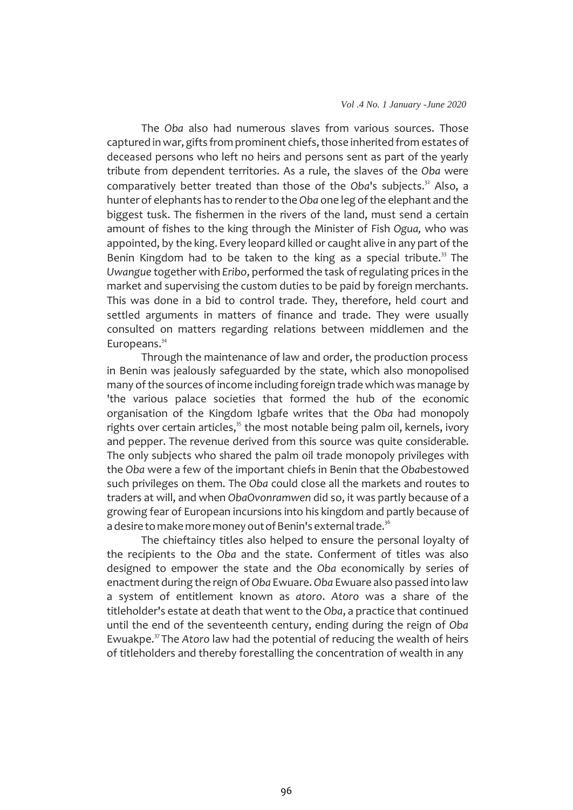The *Oba* also had numerous slaves from various sources. Those captured in war, gifts from prominent chiefs, those inherited from estates of deceased persons who left no heirs and persons sent as part of the yearly tribute from dependent territories. As a rule, the slaves of the *Oba* were comparatively better treated than those of the Oba's subjects.<sup>32</sup> Also, a hunter of elephants has to render to the *Oba* one leg of the elephant and the biggest tusk. The fishermen in the rivers of the land, must send a certain amount of fishes to the king through the Minister of Fish *Ogua,* who was appointed, by the king. Every leopard killed or caught alive in any part of the Benin Kingdom had to be taken to the king as a special tribute.<sup>33</sup> The *Uwangue* together with *Eribo*, performed the task ofregulating prices in the market and supervising the custom duties to be paid by foreign merchants. This was done in a bid to control trade. They, therefore, held court and settled arguments in matters of finance and trade. They were usually consulted on matters regarding relations between middlemen and the Europeans. 34

Through the maintenance of law and order, the production process in Benin was jealously safeguarded by the state, which also monopolised many of the sources of income including foreign trade which was manage by 'the various palace societies that formed the hub of the economic organisation of the Kingdom Igbafe writes that the *Oba* had monopoly rights over certain articles, $^{\scriptscriptstyle 35}$  the most notable being palm oil, kernels, ivory and pepper. The revenue derived from this source was quite considerable. The only subjects who shared the palm oil trade monopoly privileges with the *Oba* were a few of the important chiefs in Benin that the *Oba*bestowed such privileges on them. The *Oba* could close all the markets and routes to traders at will, and when *ObaOvonramwen* did so, it was partly because of a growing fear of European incursions into his kingdom and partly because of a desire to make more money out of Benin's external trade. $^{36}$ 

The chieftaincy titles also helped to ensure the personal loyalty of the recipients to the *Oba* and the state. Conferment of titles was also designed to empower the state and the *Oba* economically by series of enactment during the reign of*Oba* Ewuare.*Oba* Ewuare also passed into law a system of entitlement known as *atoro*. *Atoro* was a share of the titleholder's estate at death that went to the *Oba*, a practice that continued until the end of the seventeenth century, ending during the reign of *Oba*  Ewuakpe.<sup>37</sup>The *Atoro* law had the potential of reducing the wealth of heirs of titleholders and thereby forestalling the concentration of wealth in any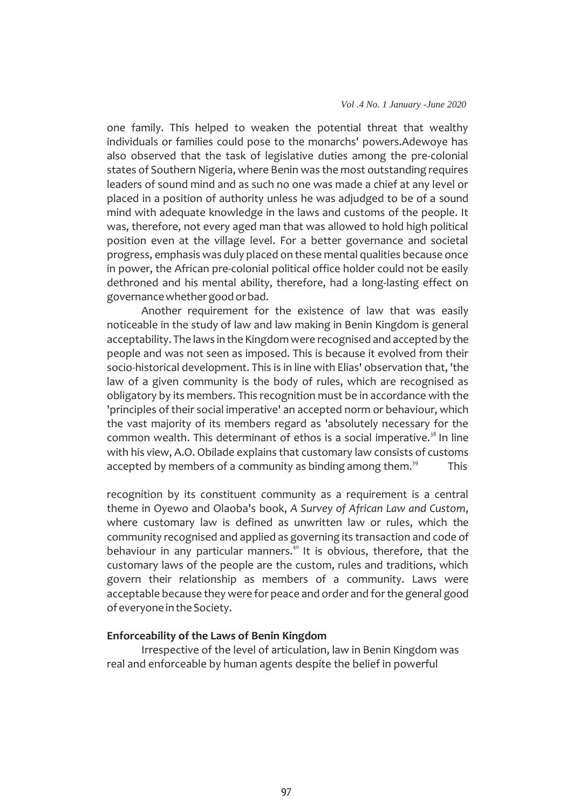one family. This helped to weaken the potential threat that wealthy individuals or families could pose to the monarchs' powers.Adewoye has also observed that the task of legislative duties among the pre-colonial states of Southern Nigeria, where Benin was the most outstanding requires leaders of sound mind and as such no one was made a chief at any level or placed in a position of authority unless he was adjudged to be of a sound mind with adequate knowledge in the laws and customs of the people. It was, therefore, not every aged man that was allowed to hold high political position even at the village level. For a better governance and societal progress, emphasis was duly placed on these mental qualities because once in power, the African pre-colonial political office holder could not be easily dethroned and his mental ability, therefore, had a long-lasting effect on governancewhethergoodorbad.

Another requirement for the existence of law that was easily noticeable in the study of law and law making in Benin Kingdom is general acceptability. The laws in the Kingdom were recognised and accepted by the people and was not seen as imposed. This is because it evolved from their socio-historical development. This is in line with Elias' observation that, 'the law of a given community is the body of rules, which are recognised as obligatory by its members. This recognition must be in accordance with the 'principles of their social imperative' an accepted norm or behaviour, which the vast majority of its members regard as 'absolutely necessary for the common wealth. This determinant of ethos is a social imperative. $38$  In line with his view, A.O. Obilade explains that customary law consists of customs accepted by members of a community as binding among them.<sup>39</sup> This

recognition by its constituent community as a requirement is a central theme in Oyewo and Olaoba's book, *A Survey of African Law and Custom*, where customary law is defined as unwritten law or rules, which the community recognised and applied as governing its transaction and code of behaviour in any particular manners.<sup>40</sup> It is obvious, therefore, that the customary laws of the people are the custom, rules and traditions, which govern their relationship as members of a community. Laws were acceptable because they were for peace and order and forthe general good of everyone in the Society.

# **Enforceability of the Laws of Benin Kingdom**

Irrespective of the level of articulation, law in Benin Kingdom was real and enforceable by human agents despite the belief in powerful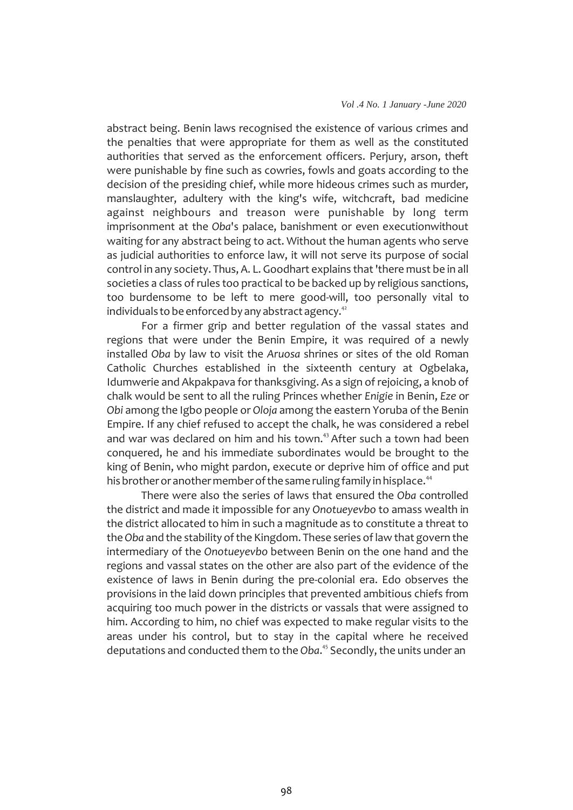abstract being. Benin laws recognised the existence of various crimes and the penalties that were appropriate for them as well as the constituted authorities that served as the enforcement officers. Perjury, arson, theft were punishable by fine such as cowries, fowls and goats according to the decision of the presiding chief, while more hideous crimes such as murder, manslaughter, adultery with the king's wife, witchcraft, bad medicine against neighbours and treason were punishable by long term imprisonment at the *Oba*'s palace, banishment or even executionwithout waiting for any abstract being to act. Without the human agents who serve as judicial authorities to enforce law, it will not serve its purpose of social control in any society. Thus, A. L. Goodhart explains that'there must be in all societies a class of rules too practical to be backed up by religious sanctions, too burdensome to be left to mere good-will, too personally vital to individuals to be enforced by any abstract agency. $^\textrm{42}$ 

For a firmer grip and better regulation of the vassal states and regions that were under the Benin Empire, it was required of a newly installed *Oba* by law to visit the *Aruosa* shrines or sites of the old Roman Catholic Churches established in the sixteenth century at Ogbelaka, Idumwerie and Akpakpava for thanksgiving. As a sign of rejoicing, a knob of chalk would be sent to all the ruling Princes whether *Enigie* in Benin, *Eze* or *Obi* among the Igbo people or *Oloja* among the eastern Yoruba of the Benin Empire. If any chief refused to accept the chalk, he was considered a rebel and war was declared on him and his town.<sup>43</sup> After such a town had been conquered, he and his immediate subordinates would be brought to the king of Benin, who might pardon, execute or deprive him of office and put his brother or another member of the same ruling family in hisplace.<sup>44</sup>

There were also the series of laws that ensured the *Oba* controlled the district and made it impossible for any *Onotueyevbo* to amass wealth in the district allocated to him in such a magnitude as to constitute a threat to the Oba and the stability of the Kingdom. These series of law that govern the intermediary of the *Onotueyevbo* between Benin on the one hand and the regions and vassal states on the other are also part of the evidence of the existence of laws in Benin during the pre-colonial era. Edo observes the provisions in the laid down principles that prevented ambitious chiefs from acquiring too much power in the districts or vassals that were assigned to him. According to him, no chief was expected to make regular visits to the areas under his control, but to stay in the capital where he received deputations and conducted them to the Oba.<sup>45</sup> Secondly, the units under an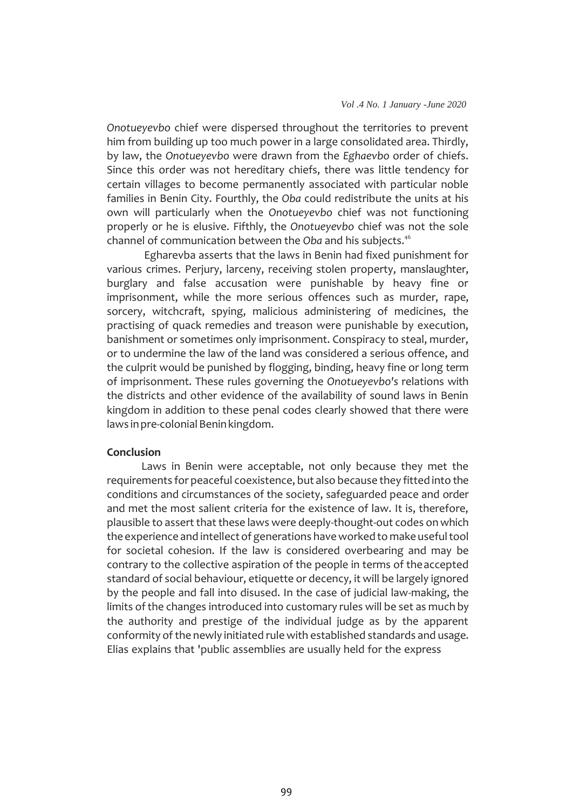*Onotueyevbo* chief were dispersed throughout the territories to prevent him from building up too much power in a large consolidated area. Thirdly, by law, the *Onotueyevbo* were drawn from the *Eghaevbo* order of chiefs. Since this order was not hereditary chiefs, there was little tendency for certain villages to become permanently associated with particular noble families in Benin City. Fourthly, the *Oba* could redistribute the units at his own will particularly when the *Onotueyevbo* chief was not functioning properly or he is elusive. Fifthly, the *Onotueyevbo* chief was not the sole channel of communication between the *Oba* and his subjects.<sup>46</sup>

Egharevba asserts that the laws in Benin had fixed punishment for various crimes. Perjury, larceny, receiving stolen property, manslaughter, burglary and false accusation were punishable by heavy fine or imprisonment, while the more serious offences such as murder, rape, sorcery, witchcraft, spying, malicious administering of medicines, the practising of quack remedies and treason were punishable by execution, banishment or sometimes only imprisonment. Conspiracy to steal, murder, or to undermine the law of the land was considered a serious offence, and the culprit would be punished by flogging, binding, heavy fine or long term of imprisonment. These rules governing the *Onotueyevbo's* relations with the districts and other evidence of the availability of sound laws in Benin kingdom in addition to these penal codes clearly showed that there were laws in pre-colonial Benin kingdom.

### **Conclusion**

Laws in Benin were acceptable, not only because they met the requirements for peaceful coexistence, but also because they fitted into the conditions and circumstances of the society, safeguarded peace and order and met the most salient criteria for the existence of law. It is, therefore, plausible to assert that these laws were deeply-thought-out codes on which the experience and intellect of generations have worked to make useful tool for societal cohesion. If the law is considered overbearing and may be contrary to the collective aspiration of the people in terms of theaccepted standard of social behaviour, etiquette or decency, it will be largely ignored by the people and fall into disused. In the case of judicial law-making, the limits of the changes introduced into customary rules will be set as much by the authority and prestige of the individual judge as by the apparent conformity of the newly initiated rule with established standards and usage. Elias explains that 'public assemblies are usually held for the express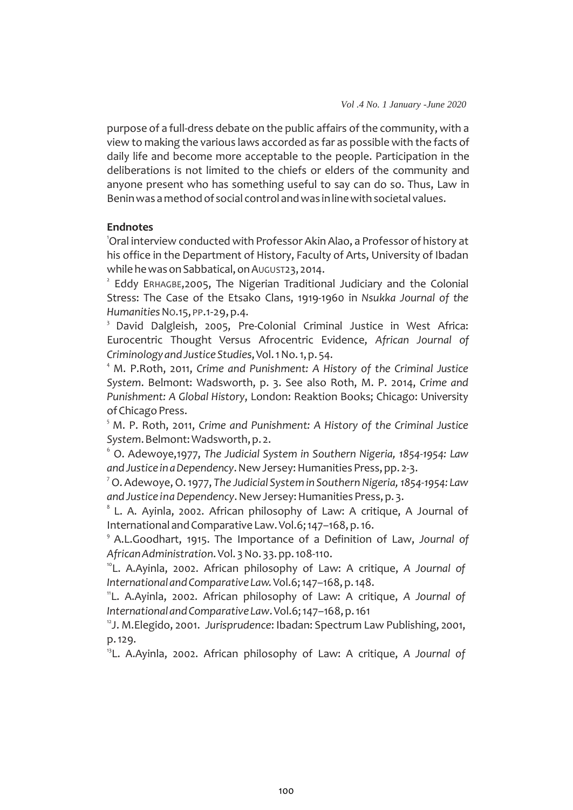purpose of a full-dress debate on the public affairs of the community, with a view to making the various laws accorded as far as possible with the facts of daily life and become more acceptable to the people. Participation in the deliberations is not limited to the chiefs or elders of the community and anyone present who has something useful to say can do so. Thus, Law in Benin was a method of social control and was in line with societal values.

### **Endnotes**

<sup>1</sup>Oral interview conducted with Professor Akin Alao, a Professor of history at his office in the Department of History, Faculty of Arts, University of Ibadan while he was on Sabbatical, on AUGUST23, 2014.

<sup>2</sup> Eddy ERHAGBE,2005, The Nigerian Traditional Judiciary and the Colonial Stress: The Case of the Etsako Clans, 1919-1960 in *Nsukka Journal of the Humanities*NO.15, PP.1-29,p.4.

<sup>3</sup> David Dalgleish, 2005, Pre-Colonial Criminal Justice in West Africa: Eurocentric Thought Versus Afrocentric Evidence, *African Journal of CriminologyandJustice Studies*,Vol.1No.1,p. 54.

<sup>4</sup> M. P.Roth, 2011, Crime and Punishment: A History of the Criminal Justice *System*. Belmont: Wadsworth, p. 3. See also Roth, M. P. 2014, *Crime and Punishment: A Global History*, London: Reaktion Books; Chicago: University of Chicago Press.

<sup>5</sup> M. P. Roth, 2011, *Crime and Punishment: A History of the Criminal Justice System*.Belmont:Wadsworth,p. 2.

<sup>6</sup>O. Adewoye,1977, *The Judicial System in Southern Nigeria, 1854-1954: Law andJustice inaDependency*.NewJersey:HumanitiesPress,pp. 2-3.

<sup>7</sup> O. Adewoye,O.1977, *The Judicial System in Southern Nigeria, 1854-1954: Law andJustice ina Dependency*.NewJersey:HumanitiesPress,p.3.

 $8$  L. A. Ayinla, 2002. African philosophy of Law: A critique, A Journal of International and Comparative Law. Vol.6; 147-168, p. 16.

<sup>9</sup>A.L.Goodhart, 1915. The Importance of a Definition of Law, *Journal of AfricanAdministration*.Vol. 3No. 33.pp.108-110.

<sup>10</sup>L. A.Ayinla, 2002. African philosophy of Law: A critique, *A Journal of International andComparative Law.*Vol.6;147–168,p.148.

<sup>11</sup>L. A.Ayinla, 2002. African philosophy of Law: A critique, *A Journal of International andComparative Law*.Vol.6;147–168,p.161

12 J. M.Elegido, 2001. *Jurisprudence*: Ibadan: Spectrum Law Publishing, 2001, p.129.

13 L. A.Ayinla, 2002. African philosophy of Law: A critique, *A Journal of*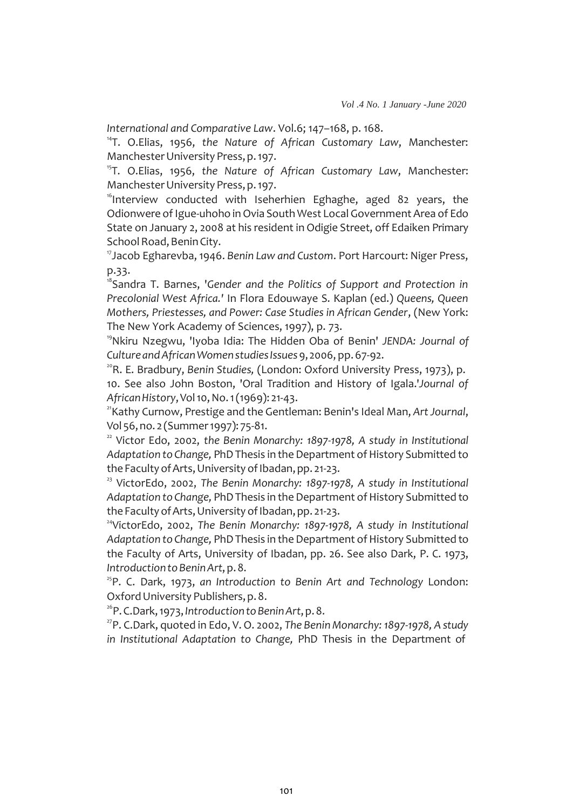*International and Comparative Law*. Vol.6; 147–168, p. 168.

14 T. O.Elias, 1956, *the Nature of African Customary Law*, Manchester: Manchester University Press, p. 197.

<sup>15</sup>T. O.Elias, 1956, the Nature of African Customary Law, Manchester: Manchester University Press, p. 197.

16 Interview conducted with Iseherhien Eghaghe, aged 82 years, the Odionwere of Igue-uhoho in Ovia South West Local Government Area of Edo State on January 2, 2008 at his resident in Odigie Street, off Edaiken Primary School Road, Benin City.

<sup>17</sup>Jacob Egharevba, 1946. *Benin Law and Custom*. Port Harcourt: Niger Press, p.33.

<sup>8</sup>Sandra T. Barnes, 'Gender and the Politics of Support and Protection in *Precolonial West Africa.'* In Flora Edouwaye S. Kaplan (ed.) *Queens, Queen Mothers, Priestesses, and Power: Case Studies in African Gender*, (New York: The New York Academy of Sciences, 1997), p. 73.

<sup>19</sup>Nkiru Nzegwu, 'Iyoba Idia: The Hidden Oba of Benin' *JENDA: Journal of Culture andAfricanWomenstudiesIssues*9, 2006, pp.67-92.

20 R. E. Bradbury, *Benin Studies,* (London: Oxford University Press, 1973), p. 10. See also John Boston, 'Oral Tradition and History of Igala.'*Journal of AfricanHistory*,Vol10,No.1(1969): 21-43.

21 Kathy Curnow, Prestige and the Gentleman: Benin's Ideal Man, *ArtJournal*, Vol 56, no. 2 (Summer 1997): 75-81.

<sup>22</sup> Victor Edo, 2002, *the Benin Monarchy: 1897-1978*, A *study in Institutional* Adaptation to Change, PhD Thesis in the Department of History Submitted to the Faculty of Arts, University of Ibadan, pp. 21-23.

<sup>23</sup> VictorEdo, 2002, The Benin Monarchy: 1897-1978, A study in Institutional Adaptation to Change, PhD Thesis in the Department of History Submitted to the Faculty of Arts, University of Ibadan, pp. 21-23.

<sup>24</sup>VictorEdo, 2002, The Benin Monarchy: 1897-1978, A study in Institutional Adaptation to Change, PhD Thesis in the Department of History Submitted to the Faculty of Arts, University of Ibadan, pp. 26. See also Dark, P. C. 1973, *IntroductiontoBeninArt*,p.8.

25 P. C. Dark, 1973, *an Introduction to Benin Art and Technology* London: Oxford University Publishers, p. 8.

26 P.C.Dark,1973,*IntroductiontoBeninArt*,p.8.

27 P. C.Dark, quoted in Edo, V. O. 2002, *The Benin Monarchy: 1897-1978, A study in Institutional Adaptation to Change,* PhD Thesis in the Department of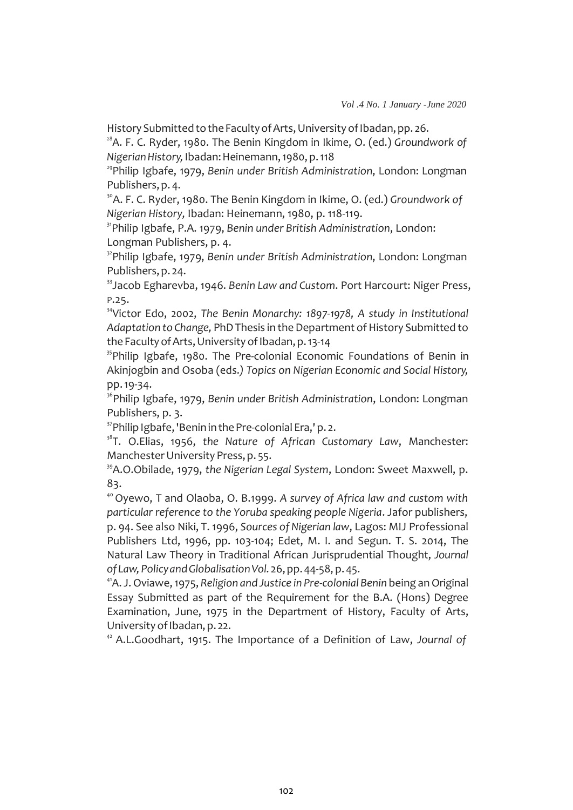History Submitted to the Faculty of Arts, University of Ibadan, pp. 26.

 $^{28}$ A. F. C. Ryder, 1980. The Benin Kingdom in Ikime, O. (ed.) Groundwork of *NigerianHistory,*Ibadan:Heinemann,1980, p.118

29 Philip Igbafe, 1979, *Benin under British Administration*, London: Longman Publishers, p. 4.

<sup>30</sup> A. F. C. Ryder, 1980. The Benin Kingdom in Ikime, O. (ed.) *Groundwork of Nigerian History,* Ibadan: Heinemann, 1980, p. 118-119.

<sup>31</sup>Philip Igbafe, P.A. 1979, *Benin under British Administration*, London: Longman Publishers, p. 4.

<sup>32</sup>Philip Igbafe, 1979, *Benin under British Administration*, London: Longman Publishers, p. 24.

<sup>33</sup>Jacob Egharevba, 1946. *Benin Law and Custom*. Port Harcourt: Niger Press, P.25.

<sup>34</sup>Victor Edo, 2002, The Benin Monarchy: 1897-1978, A study in Institutional Adaptation to Change, PhD Thesis in the Department of History Submitted to the Faculty of Arts, University of Ibadan, p. 13-14

<sup>35</sup>Philip Igbafe, 1980. The Pre-colonial Economic Foundations of Benin in Akinjogbin and Osoba (eds.*) Topics on Nigerian Economic and Social History,*  pp.19-34.

<sup>36</sup>Philip Igbafe, 1979, Benin under British Administration, London: Longman Publishers, p. 3.

<sup>37</sup>Philip Igbafe, 'Benin in the Pre-colonial Era,' p. 2.

<sup>38</sup>T. O.Elias, 1956, the Nature of African Customary Law, Manchester: Manchester University Press, p. 55.

<sup>39</sup>A.O.Obilade, 1979, *the Nigerian Legal System*, London: Sweet Maxwell, p. 83.

<sup>40</sup>Oyewo, T and Olaoba, O. B.1999. *A survey of Africa law and custom with particular reference to the Yoruba speaking people Nigeria*. Jafor publishers, p. 94. See also Niki, T. 1996, *Sources of Nigerian law*, Lagos: MIJ Professional Publishers Ltd, 1996, pp. 103-104; Edet, M. I. and Segun. T. S. 2014, The Natural Law Theory in Traditional African Jurisprudential Thought, *Journal of Law,PolicyandGlobalisationVol.* 26,pp.44-58, p.45.

41 A. J.Oviawe,1975, *Religion and Justice in Pre-colonial Benin* being anOriginal Essay Submitted as part of the Requirement for the B.A. (Hons) Degree Examination, June, 1975 in the Department of History, Faculty of Arts, University of Ibadan, p. 22.

<sup>42</sup>A.L.Goodhart, 1915. The Importance of a Definition of Law, *Journal of*